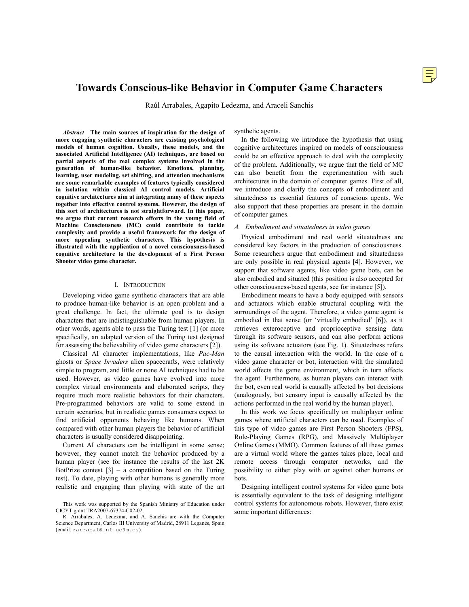# **Towards Conscious-like Behavior in Computer Game Characters**

Raúl Arrabales, Agapito Ledezma, and Araceli Sanchis

Abstract—The main sources of inspiration for the design of **more engaging synthetic characters are existing psychological models of human cognition. Usually, these models, and the associated Artificial Intelligence (AI) techniques, are based on partial aspects of the real complex systems involved in the generation of human-like behavior. Emotions, planning, learning, user modeling, set shifting, and attention mechanisms are some remarkable examples of features typically considered in isolation within classical AI control models. Artificial cognitive architectures aim at integrating many of these aspects together into effective control systems. However, the design of this sort of architectures is not straightforward. In this paper, we argue that current research efforts in the young field of Machine Consciousness (MC) could contribute to tackle complexity and provide a useful framework for the design of more appealing synthetic characters. This hypothesis is illustrated with the application of a novel consciousness-based cognitive architecture to the development of a First Person Shooter video game character.** 

#### I. INTRODUCTION

Developing video game synthetic characters that are able to produce human-like behavior is an open problem and a great challenge. In fact, the ultimate goal is to design characters that are indistinguishable from human players. In other words, agents able to pass the Turing test [1] (or more specifically, an adapted version of the Turing test designed for assessing the believability of video game characters [2]).

Classical AI character implementations, like *Pac-Man* ghosts or *Space Invaders* alien spacecrafts, were relatively simple to program, and little or none AI techniques had to be used. However, as video games have evolved into more complex virtual environments and elaborated scripts, they require much more realistic behaviors for their characters. Pre-programmed behaviors are valid to some extend in certain scenarios, but in realistic games consumers expect to find artificial opponents behaving like humans. When compared with other human players the behavior of artificial characters is usually considered disappointing.

Current AI characters can be intelligent in some sense; however, they cannot match the behavior produced by a human player (see for instance the results of the last 2K BotPrize contest  $[3]$  – a competition based on the Turing test). To date, playing with other humans is generally more realistic and engaging than playing with state of the art synthetic agents.

In the following we introduce the hypothesis that using cognitive architectures inspired on models of consciousness could be an effective approach to deal with the complexity of the problem. Additionally, we argue that the field of MC can also benefit from the experimentation with such architectures in the domain of computer games. First of all, we introduce and clarify the concepts of embodiment and situatedness as essential features of conscious agents. We also support that these properties are present in the domain of computer games.

# *A. Embodiment and situatedness in video games*

Physical embodiment and real world situatedness are considered key factors in the production of consciousness. Some researchers argue that embodiment and situatedness are only possible in real physical agents [4]. However, we support that software agents, like video game bots, can be also embodied and situated (this position is also accepted for other consciousness-based agents, see for instance [5]).

Embodiment means to have a body equipped with sensors and actuators which enable structural coupling with the surroundings of the agent. Therefore, a video game agent is embodied in that sense (or 'virtually embodied' [6]), as it retrieves exteroceptive and proprioceptive sensing data through its software sensors, and can also perform actions using its software actuators (see Fig. 1). Situatedness refers to the causal interaction with the world. In the case of a video game character or bot, interaction with the simulated world affects the game environment, which in turn affects the agent. Furthermore, as human players can interact with the bot, even real world is causally affected by bot decisions (analogously, bot sensory input is causally affected by the actions performed in the real world by the human player).

In this work we focus specifically on multiplayer online games where artificial characters can be used. Examples of this type of video games are First Person Shooters (FPS), Role-Playing Games (RPG), and Massively Multiplayer Online Games (MMO). Common features of all these games are a virtual world where the games takes place, local and remote access through computer networks, and the possibility to either play with or against other humans or bots.

Designing intelligent control systems for video game bots is essentially equivalent to the task of designing intelligent control systems for autonomous robots. However, there exist some important differences:

This work was supported by the Spanish Ministry of Education under CICYT grant TRA2007-67374-C02-02.

R. Arrabales, A. Ledezma, and A. Sanchis are with the Computer Science Department, Carlos III University of Madrid, 28911 Leganés, Spain (email: rarrabal@inf.uc3m.es).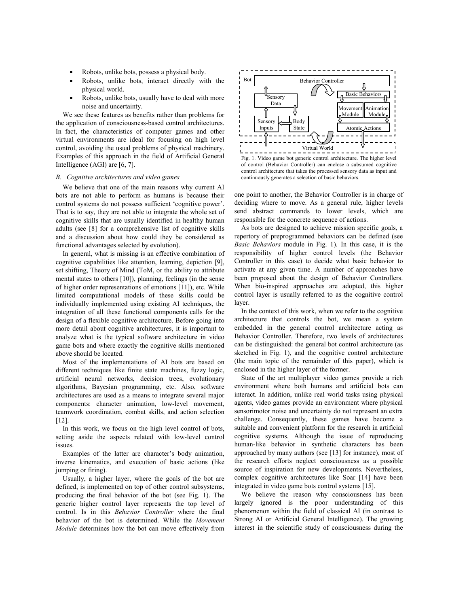- Robots, unlike bots, possess a physical body.
- Robots, unlike bots, interact directly with the physical world.
- Robots, unlike bots, usually have to deal with more noise and uncertainty.

 We see these features as benefits rather than problems for the application of consciousness-based control architectures. In fact, the characteristics of computer games and other virtual environments are ideal for focusing on high level control, avoiding the usual problems of physical machinery. Examples of this approach in the field of Artificial General Intelligence (AGI) are [6, 7].

# *B. Cognitive architectures and video games*

We believe that one of the main reasons why current AI bots are not able to perform as humans is because their control systems do not possess sufficient 'cognitive power'. That is to say, they are not able to integrate the whole set of cognitive skills that are usually identified in healthy human adults (see [8] for a comprehensive list of cognitive skills and a discussion about how could they be considered as functional advantages selected by evolution).

In general, what is missing is an effective combination of cognitive capabilities like attention, learning, depiction [9], set shifting, Theory of Mind (ToM, or the ability to attribute mental states to others [10]), planning, feelings (in the sense of higher order representations of emotions [11]), etc. While limited computational models of these skills could be individually implemented using existing AI techniques, the integration of all these functional components calls for the design of a flexible cognitive architecture. Before going into more detail about cognitive architectures, it is important to analyze what is the typical software architecture in video game bots and where exactly the cognitive skills mentioned above should be located.

Most of the implementations of AI bots are based on different techniques like finite state machines, fuzzy logic, artificial neural networks, decision trees, evolutionary algorithms, Bayesian programming, etc. Also, software architectures are used as a means to integrate several major components: character animation, low-level movement, teamwork coordination, combat skills, and action selection  $[12]$ .

In this work, we focus on the high level control of bots, setting aside the aspects related with low-level control issues.

Examples of the latter are character's body animation, inverse kinematics, and execution of basic actions (like jumping or firing).

Usually, a higher layer, where the goals of the bot are defined, is implemented on top of other control subsystems, producing the final behavior of the bot (see Fig. 1). The generic higher control layer represents the top level of control. Is in this *Behavior Controller* where the final behavior of the bot is determined. While the *Movement Module* determines how the bot can move effectively from



Fig. 1. Video game bot generic control architecture. The higher level of control (Behavior Controller) can enclose a subsumed cognitive control architecture that takes the processed sensory data as input and continuously generates a selection of basic behaviors.

one point to another, the Behavior Controller is in charge of deciding where to move. As a general rule, higher levels send abstract commands to lower levels, which are responsible for the concrete sequence of actions.

As bots are designed to achieve mission specific goals, a repertory of preprogrammed behaviors can be defined (see *Basic Behaviors* module in Fig. 1). In this case, it is the responsibility of higher control levels (the Behavior Controller in this case) to decide what basic behavior to activate at any given time. A number of approaches have been proposed about the design of Behavior Controllers. When bio-inspired approaches are adopted, this higher control layer is usually referred to as the cognitive control layer.

In the context of this work, when we refer to the cognitive architecture that controls the bot, we mean a system embedded in the general control architecture acting as Behavior Controller. Therefore, two levels of architectures can be distinguished: the general bot control architecture (as sketched in Fig. 1), and the cognitive control architecture (the main topic of the remainder of this paper), which is enclosed in the higher layer of the former.

State of the art multiplayer video games provide a rich environment where both humans and artificial bots can interact. In addition, unlike real world tasks using physical agents, video games provide an environment where physical sensorimotor noise and uncertainty do not represent an extra challenge. Consequently, these games have become a suitable and convenient platform for the research in artificial cognitive systems. Although the issue of reproducing human-like behavior in synthetic characters has been approached by many authors (see [13] for instance), most of the research efforts neglect consciousness as a possible source of inspiration for new developments. Nevertheless, complex cognitive architectures like Soar [14] have been integrated in video game bots control systems [15].

We believe the reason why consciousness has been largely ignored is the poor understanding of this phenomenon within the field of classical AI (in contrast to Strong AI or Artificial General Intelligence). The growing interest in the scientific study of consciousness during the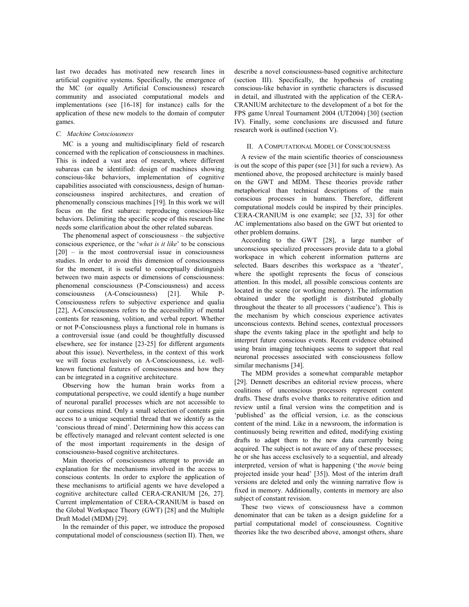last two decades has motivated new research lines in artificial cognitive systems. Specifically, the emergence of the MC (or equally Artificial Consciousness) research community and associated computational models and implementations (see [16-18] for instance) calls for the application of these new models to the domain of computer games.

# *C. Machine Consciousness*

MC is a young and multidisciplinary field of research concerned with the replication of consciousness in machines. This is indeed a vast area of research, where different subareas can be identified: design of machines showing conscious-like behaviors, implementation of cognitive capabilities associated with consciousness, design of humanconsciousness inspired architectures, and creation of phenomenally conscious machines [19]. In this work we will focus on the first subarea: reproducing conscious-like behaviors. Delimiting the specific scope of this research line needs some clarification about the other related subareas.

The phenomenal aspect of consciousness  $-$  the subjective conscious experience, or the 'what is it like' to be conscious  $[20]$  – is the most controversial issue in consciousness studies. In order to avoid this dimension of consciousness for the moment, it is useful to conceptually distinguish between two main aspects or dimensions of consciousness: phenomenal consciousness (P-Consciousness) and access consciousness (A-Consciousness) [21]. While P-Consciousness refers to subjective experience and qualia [22], A-Consciousness refers to the accessibility of mental contents for reasoning, volition, and verbal report. Whether or not P-Consciousness plays a functional role in humans is a controversial issue (and could be thoughtfully discussed elsewhere, see for instance [23-25] for different arguments about this issue). Nevertheless, in the context of this work we will focus exclusively on A-Consciousness, i.e. wellknown functional features of consciousness and how they can be integrated in a cognitive architecture.

Observing how the human brain works from a computational perspective, we could identify a huge number of neuronal parallel processes which are not accessible to our conscious mind. Only a small selection of contents gain access to a unique sequential thread that we identify as the 'conscious thread of mind'. Determining how this access can be effectively managed and relevant content selected is one of the most important requirements in the design of consciousness-based cognitive architectures.

Main theories of consciousness attempt to provide an explanation for the mechanisms involved in the access to conscious contents. In order to explore the application of these mechanisms to artificial agents we have developed a cognitive architecture called CERA-CRANIUM [26, 27]. Current implementation of CERA-CRANIUM is based on the Global Workspace Theory (GWT) [28] and the Multiple Draft Model (MDM) [29].

In the remainder of this paper, we introduce the proposed computational model of consciousness (section II). Then, we describe a novel consciousness-based cognitive architecture (section III). Specifically, the hypothesis of creating conscious-like behavior in synthetic characters is discussed in detail, and illustrated with the application of the CERA-CRANIUM architecture to the development of a bot for the FPS game Unreal Tournament 2004 (UT2004) [30] (section IV). Finally, some conclusions are discussed and future research work is outlined (section V).

# II. A COMPUTATIONAL MODEL OF CONSCIOUSNESS

A review of the main scientific theories of consciousness is out the scope of this paper (see [31] for such a review). As mentioned above, the proposed architecture is mainly based on the GWT and MDM. These theories provide rather metaphorical than technical descriptions of the main conscious processes in humans. Therefore, different computational models could be inspired by their principles. CERA-CRANIUM is one example; see [32, 33] for other AC implementations also based on the GWT but oriented to other problem domains.

According to the GWT [28], a large number of unconscious specialized processors provide data to a global workspace in which coherent information patterns are selected. Baars describes this workspace as a 'theater', where the spotlight represents the focus of conscious attention. In this model, all possible conscious contents are located in the scene (or working memory). The information obtained under the spotlight is distributed globally throughout the theater to all processors ('audience'). This is the mechanism by which conscious experience activates unconscious contexts. Behind scenes, contextual processors shape the events taking place in the spotlight and help to interpret future conscious events. Recent evidence obtained using brain imaging techniques seems to support that real neuronal processes associated with consciousness follow similar mechanisms [34].

The MDM provides a somewhat comparable metaphor [29]. Dennett describes an editorial review process, where coalitions of unconscious processors represent content drafts. These drafts evolve thanks to reiterative edition and review until a final version wins the competition and is 'published' as the official version, i.e. as the conscious content of the mind. Like in a newsroom, the information is continuously being rewritten and edited, modifying existing drafts to adapt them to the new data currently being acquired. The subject is not aware of any of these processes; he or she has access exclusively to a sequential, and already interpreted, version of what is happening ('the *movie* being projected inside your head' [35]). Most of the interim draft versions are deleted and only the winning narrative flow is fixed in memory. Additionally, contents in memory are also subject of constant revision.

These two views of consciousness have a common denominator that can be taken as a design guideline for a partial computational model of consciousness. Cognitive theories like the two described above, amongst others, share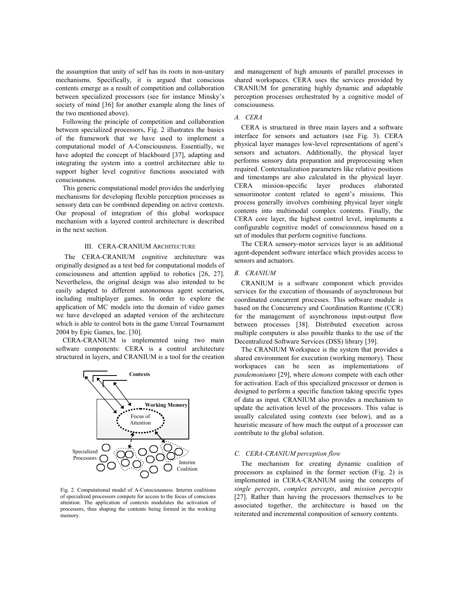the assumption that unity of self has its roots in non-unitary mechanisms. Specifically, it is argued that conscious contents emerge as a result of competition and collaboration between specialized processors (see for instance Minsky's society of mind [36] for another example along the lines of the two mentioned above).

Following the principle of competition and collaboration between specialized processors, Fig. 2 illustrates the basics of the framework that we have used to implement a computational model of A-Consciousness. Essentially, we have adopted the concept of blackboard [37], adapting and integrating the system into a control architecture able to support higher level cognitive functions associated with consciousness.

This generic computational model provides the underlying mechanisms for developing flexible perception processes as sensory data can be combined depending on active contexts. Our proposal of integration of this global workspace mechanism with a layered control architecture is described in the next section.

#### III. CERA-CRANIUM ARCHITECTURE

 The CERA-CRANIUM cognitive architecture was originally designed as a test bed for computational models of consciousness and attention applied to robotics [26, 27]. Nevertheless, the original design was also intended to be easily adapted to different autonomous agent scenarios, including multiplayer games. In order to explore the application of MC models into the domain of video games we have developed an adapted version of the architecture which is able to control bots in the game Unreal Tournament 2004 by Epic Games, Inc. [30].

CERA-CRANIUM is implemented using two main software components: CERA is a control architecture structured in layers, and CRANIUM is a tool for the creation



Fig. 2. Computational model of A-Consciousness. Interim coalitions of specialized processors compete for access to the focus of conscious attention. The application of contexts modulates the activation of processors, thus shaping the contents being formed in the working memory.

and management of high amounts of parallel processes in shared workspaces. CERA uses the services provided by CRANIUM for generating highly dynamic and adaptable perception processes orchestrated by a cognitive model of consciousness.

## *A. CERA*

CERA is structured in three main layers and a software interface for sensors and actuators (see Fig. 3). CERA physical layer manages low-level representations of agent's sensors and actuators. Additionally, the physical layer performs sensory data preparation and preprocessing when required. Contextualization parameters like relative positions and timestamps are also calculated in the physical layer. CERA mission-specific layer produces elaborated sensorimotor content related to agent's missions. This process generally involves combining physical layer single contents into multimodal complex contents. Finally, the CERA core layer, the highest control level, implements a configurable cognitive model of consciousness based on a set of modules that perform cognitive functions.

The CERA sensory-motor services layer is an additional agent-dependent software interface which provides access to sensors and actuators.

# *B. CRANIUM*

CRANIUM is a software component which provides services for the execution of thousands of asynchronous but coordinated concurrent processes. This software module is based on the Concurrency and Coordination Runtime (CCR) for the management of asynchronous input-output flow between processes [38]. Distributed execution across multiple computers is also possible thanks to the use of the Decentralized Software Services (DSS) library [39].

The CRANIUM Workspace is the system that provides a shared environment for execution (working memory). These workspaces can be seen as implementations of *pandemoniums* [29], where *demons* compete with each other for activation. Each of this specialized processor or demon is designed to perform a specific function taking specific types of data as input. CRANIUM also provides a mechanism to update the activation level of the processors. This value is usually calculated using contexts (see below), and as a heuristic measure of how much the output of a processor can contribute to the global solution.

#### *C. CERA-CRANIUM perception flow*

The mechanism for creating dynamic coalition of processors as explained in the former section (Fig. 2) is implemented in CERA-CRANIUM using the concepts of *single percepts*, *complex percepts*, and *mission percepts* [27]. Rather than having the processors themselves to be associated together, the architecture is based on the reiterated and incremental composition of sensory contents.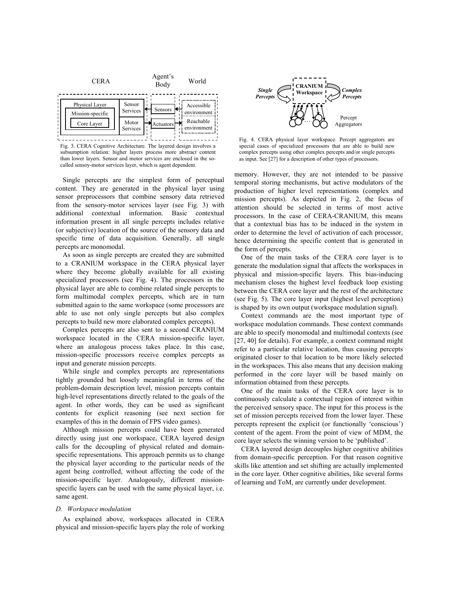

Fig. 3. CERA Cognitive Architecture. The layered design involves a subsumption relation: higher layers process more abstract content than lower layers. Sensor and motor services are enclosed in the socalled sensoy-motor services layer, which is agent dependent.

Single percepts are the simplest form of perceptual content. They are generated in the physical layer using sensor preprocessors that combine sensory data retrieved from the sensory-motor services layer (see Fig. 3) with additional contextual information. Basic contextual information present in all single percepts includes relative (or subjective) location of the source of the sensory data and specific time of data acquisition. Generally, all single percepts are monomodal.

As soon as single percepts are created they are submitted to a CRANIUM workspace in the CERA physical layer where they become globally available for all existing specialized processors (see Fig. 4). The processors in the physical layer are able to combine related single percepts to form multimodal complex percepts, which are in turn submitted again to the same workspace (some processors are able to use not only single percepts but also complex percepts to build new more elaborated complex percepts).

Complex percepts are also sent to a second CRANIUM workspace located in the CERA mission-specific layer, where an analogous process takes place. In this case, mission-specific processors receive complex percepts as input and generate mission percepts.

While single and complex percepts are representations tightly grounded but loosely meaningful in terms of the problem-domain description level, mission percepts contain high-level representations directly related to the goals of the agent. In other words, they can be used as significant contents for explicit reasoning (see next section for examples of this in the domain of FPS video games).

Although mission percepts could have been generated directly using just one workspace, CERA layered design calls for the decoupling of physical related and domainspecific representations. This approach permits us to change the physical layer according to the particular needs of the agent being controlled, without affecting the code of the mission-specific layer. Analogously, different missionspecific layers can be used with the same physical layer, i.e. same agent.

#### *D. Workspace modulation*

As explained above, workspaces allocated in CERA physical and mission-specific layers play the role of working



Fig. 4. CERA physical layer workspace. Percept aggregators are special cases of specialized processors that are able to build new complex percepts using other complex percepts and/or single percepts as input. See [27] for a description of other types of processors.

memory. However, they are not intended to be passive temporal storing mechanisms, but active modulators of the production of higher level representations (complex and mission percepts). As depicted in Fig. 2, the focus of attention should be selected in terms of most active processors. In the case of CERA-CRANIUM, this means that a contextual bias has to be induced in the system in order to determine the level of activation of each processor, hence determining the specific content that is generated in the form of percepts.

One of the main tasks of the CERA core layer is to generate the modulation signal that affects the workspaces in physical and mission-specific layers. This bias-inducing mechanism closes the highest level feedback loop existing between the CERA core layer and the rest of the architecture (see Fig. 5). The core layer input (highest level perception) is shaped by its own output (workspace modulation signal).

 Context commands are the most important type of workspace modulation commands. These context commands are able to specify monomodal and multimodal contexts (see [27, 40] for details). For example, a context command might refer to a particular relative location, thus causing percepts originated closer to that location to be more likely selected in the workspaces. This also means that any decision making performed in the core layer will be based mainly on information obtained from these percepts.

One of the main tasks of the CERA core layer is to continuously calculate a contextual region of interest within the perceived sensory space. The input for this process is the set of mission percepts received from the lower layer. These percepts represent the explicit (or functionally 'conscious') content of the agent. From the point of view of MDM, the core layer selects the winning version to be 'published'.

CERA layered design decouples higher cognitive abilities from domain-specific perception. For that reason cognitive skills like attention and set shifting are actually implemented in the core layer. Other cognitive abilities, like several forms of learning and ToM, are currently under development.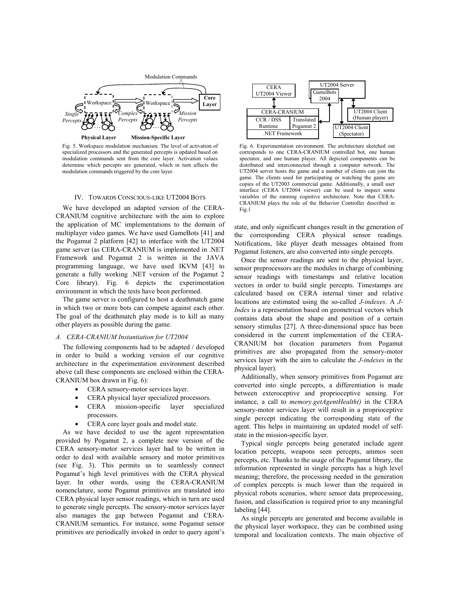

Fig. 5. Workspace modulation mechanism. The level of activation of specialized processors and the generated percepts is updated based on modulation commands sent from the core layer. Activation values determine which percepts are generated, which in turn affects the modulation commands triggered by the core layer.

## IV. TOWARDS CONSCIOUS-LIKE UT2004 BOTS

We have developed an adapted version of the CERA-CRANIUM cognitive architecture with the aim to explore the application of MC implementations to the domain of multiplayer video games. We have used GameBots [41] and the Pogamut 2 platform [42] to interface with the UT2004 game server (as CERA-CRANIUM is implemented in .NET Framework and Pogamut 2 is written in the JAVA programming language, we have used IKVM [43] to generate a fully working .NET version of the Pogamut 2 Core library). Fig. 6 depicts the experimentation environment in which the tests have been performed.

The game server is configured to host a deathmatch game in which two or more bots can compete against each other. The goal of the deathmatch play mode is to kill as many other players as possible during the game.

## *A. CERA-CRANIUM Instantiation for UT2004*

The following components had to be adapted / developed in order to build a working version of our cognitive architecture in the experimentation environment described above (all these components are enclosed within the CERA-CRANIUM box drawn in Fig. 6):

- CERA sensory-motor services layer.
- CERA physical layer specialized processors.
- CERA mission-specific layer specialized processors.
- CERA core layer goals and model state.

As we have decided to use the agent representation provided by Pogamut 2, a complete new version of the CERA sensory-motor services layer had to be written in order to deal with available sensory and motor primitives (see Fig. 3). This permits us to seamlessly connect Pogamut's high level primitives with the CERA physical layer. In other words, using the CERA-CRANIUM nomenclature, some Pogamut primitives are translated into CERA physical layer sensor readings, which in turn are used to generate single percepts. The sensory-motor services layer also manages the gap between Pogamut and CERA-CRANIUM semantics. For instance, some Pogamut sensor primitives are periodically invoked in order to query agent's



Fig. 6. Experimentation environment. The architecture sketched out corresponds to one CERA-CRANIUM controlled bot, one human spectator, and one human player. All depicted components can be distributed and interconnected through a computer network. The UT2004 server hosts the game and a number of clients can join the game. The clients used for participating or watching the game are copies of the UT2003 commercial game. Additionally, a small user interface (CERA UT2004 viewer) can be used to inspect some variables of the running cognitive architecture. Note that CERA-CRANIUM plays the role of the Behavior Controller described in Fig.1

state, and only significant changes result in the generation of the corresponding CERA physical sensor readings. Notifications, like player death messages obtained from Pogamut listeners, are also converted into single percepts.

Once the sensor readings are sent to the physical layer, sensor preprocessors are the modules in charge of combining sensor readings with timestamps and relative location vectors in order to build single percepts. Timestamps are calculated based on CERA internal timer and relative locations are estimated using the so-called *J-indexes*. A *J-Index* is a representation based on geometrical vectors which contains data about the shape and position of a certain sensory stimulus [27]. A three-dimensional space has been considered in the current implementation of the CERA-CRANIUM bot (location parameters from Pogamut primitives are also propagated from the sensory-motor services layer with the aim to calculate the *J-indexes* in the physical layer).

Additionally, when sensory primitives from Pogamut are converted into single percepts, a differentiation is made between exteroceptive and proprioceptive sensing. For instance, a call to *memory.getAgentHealth()* in the CERA sensory-motor services layer will result in a proprioceptive single percept indicating the corresponding state of the agent. This helps in maintaining an updated model of selfstate in the mission-specific layer.

Typical single percepts being generated include agent location percepts, weapons seen percepts, ammos seen percepts, etc. Thanks to the usage of the Pogamut library, the information represented in single percepts has a high level meaning; therefore, the processing needed in the generation of complex percepts is much lower than the required in physical robots scenarios, where sensor data preprocessing, fusion, and classification is required prior to any meaningful labeling [44].

As single percepts are generated and become available in the physical layer workspace, they can be combined using temporal and localization contexts. The main objective of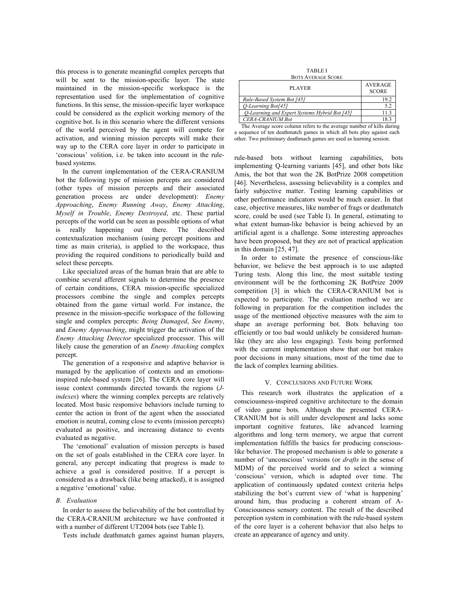this process is to generate meaningful complex percepts that will be sent to the mission-specific layer. The state maintained in the mission-specific workspace is the representation used for the implementation of cognitive functions. In this sense, the mission-specific layer workspace could be considered as the explicit working memory of the cognitive bot. Is in this scenario where the different versions of the world perceived by the agent will compete for activation, and winning mission percepts will make their way up to the CERA core layer in order to participate in 'conscious' volition, i.e. be taken into account in the rulebased systems.

In the current implementation of the CERA-CRANIUM bot the following type of mission percepts are considered (other types of mission percepts and their associated generation process are under development): *Enemy Approaching*, *Enemy Running Away*, *Enemy Attacking*, *Myself in Trouble*, *Enemy Destroyed*, etc. These partial percepts of the world can be seen as possible options of what is really happening out there. The described contextualization mechanism (using percept positions and time as main criteria), is applied to the workspace, thus providing the required conditions to periodically build and select these percepts.

Like specialized areas of the human brain that are able to combine several afferent signals to determine the presence of certain conditions, CERA mission-specific specialized processors combine the single and complex percepts obtained from the game virtual world. For instance, the presence in the mission-specific workspace of the following single and complex percepts: *Being Damaged*, *See Enemy*, and *Enemy Approaching*, might trigger the activation of the *Enemy Attacking Detector* specialized processor. This will likely cause the generation of an *Enemy Attacking* complex percept.

The generation of a responsive and adaptive behavior is managed by the application of contexts and an emotionsinspired rule-based system [26]. The CERA core layer will issue context commands directed towards the regions (*Jindexes*) where the winning complex percepts are relatively located. Most basic responsive behaviors include turning to center the action in front of the agent when the associated emotion is neutral, coming close to events (mission percepts) evaluated as positive, and increasing distance to events evaluated as negative.

The 'emotional' evaluation of mission percepts is based on the set of goals established in the CERA core layer. In general, any percept indicating that progress is made to achieve a goal is considered positive. If a percept is considered as a drawback (like being attacked), it is assigned a negative 'emotional' value.

## *B. Evaluation*

In order to assess the believability of the bot controlled by the CERA-CRANIUM architecture we have confronted it with a number of different UT2004 bots (see Table I).

Tests include deathmatch games against human players,

TABLE I BOTS AVERAGE SCORE

| PLAYER                                        | <b>AVERAGE</b><br><b>SCORE</b> |
|-----------------------------------------------|--------------------------------|
| Rule-Based System Bot [45]                    | 19.2                           |
| O-Learning Bot[45]                            | 5.2                            |
| O-Learning and Expert Systems Hybrid Bot [45] |                                |
| <b>CERA-CRANIUM Bot</b>                       | 18.3                           |

The Average score column refers to the average number of kills during a sequence of ten deathmatch games in which all bots play against each other. Two preliminary deathmach games are used as learning session.

rule-based bots without learning capabilities, bots implementing Q-learning variants [45], and other bots like Amis, the bot that won the 2K BotPrize 2008 competition [46]. Nevertheless, assessing believability is a complex and fairly subjective matter. Testing learning capabilities or other performance indicators would be much easier. In that case, objective measures, like number of frags or deathmatch score, could be used (see Table I). In general, estimating to what extent human-like behavior is being achieved by an artificial agent is a challenge. Some interesting approaches have been proposed, but they are not of practical application in this domain [25, 47].

In order to estimate the presence of conscious-like behavior, we believe the best approach is to use adapted Turing tests. Along this line, the most suitable testing environment will be the forthcoming 2K BotPrize 2009 competition [3] in which the CERA-CRANIUM bot is expected to participate. The evaluation method we are following in preparation for the competition includes the usage of the mentioned objective measures with the aim to shape an average performing bot. Bots behaving too efficiently or too bad would unlikely be considered humanlike (they are also less engaging). Tests being performed with the current implementation show that our bot makes poor decisions in many situations, most of the time due to the lack of complex learning abilities.

#### V. CONCLUSIONS AND FUTURE WORK

This research work illustrates the application of a consciousness-inspired cognitive architecture to the domain of video game bots. Although the presented CERA-CRANIUM bot is still under development and lacks some important cognitive features, like advanced learning algorithms and long term memory, we argue that current implementation fulfills the basics for producing consciouslike behavior. The proposed mechanism is able to generate a number of 'unconscious' versions (or *drafts* in the sense of MDM) of the perceived world and to select a winning 'conscious' version, which is adapted over time. The application of continuously updated context criteria helps stabilizing the bot's current view of 'what is happening' around him, thus producing a coherent stream of A-Consciousness sensory content. The result of the described perception system in combination with the rule-based system of the core layer is a coherent behavior that also helps to create an appearance of agency and unity.